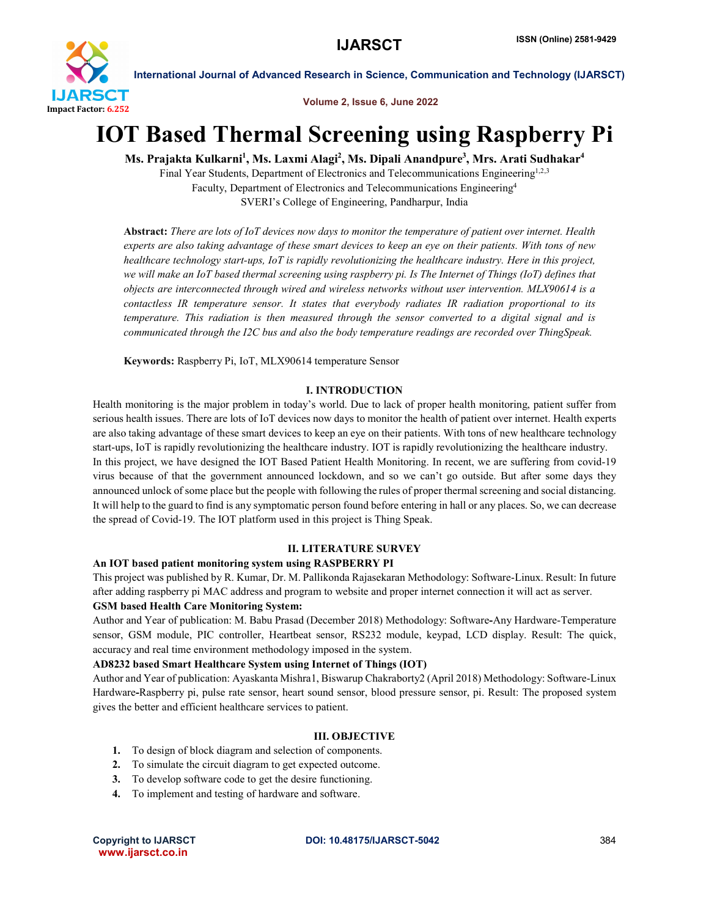

Volume 2, Issue 6, June 2022

## IOT Based Thermal Screening using Raspberry Pi

Ms. Prajakta Kulkarni<sup>1</sup>, Ms. Laxmi Alagi<sup>2</sup>, Ms. Dipali Anandpure<sup>3</sup>, Mrs. Arati Sudhakar<sup>4</sup>

Final Year Students, Department of Electronics and Telecommunications Engineering<sup>1,2,3</sup> Faculty, Department of Electronics and Telecommunications Engineering4 SVERI's College of Engineering, Pandharpur, India

Abstract: *There are lots of IoT devices now days to monitor the temperature of patient over internet. Health experts are also taking advantage of these smart devices to keep an eye on their patients. With tons of new healthcare technology start-ups, IoT is rapidly revolutionizing the healthcare industry. Here in this project, we will make an IoT based thermal screening using raspberry pi. Is The Internet of Things (IoT) defines that objects are interconnected through wired and wireless networks without user intervention. MLX90614 is a contactless IR temperature sensor. It states that everybody radiates IR radiation proportional to its temperature. This radiation is then measured through the sensor converted to a digital signal and is communicated through the I2C bus and also the body temperature readings are recorded over ThingSpeak.*

Keywords: Raspberry Pi, IoT, MLX90614 temperature Sensor

#### I. INTRODUCTION

Health monitoring is the major problem in today's world. Due to lack of proper health monitoring, patient suffer from serious health issues. There are lots of IoT devices now days to monitor the health of patient over internet. Health experts are also taking advantage of these smart devices to keep an eye on their patients. With tons of new healthcare technology start-ups, IoT is rapidly revolutionizing the healthcare industry. IOT is rapidly revolutionizing the healthcare industry. In this project, we have designed the IOT Based Patient Health Monitoring. In recent, we are suffering from covid-19 virus because of that the government announced lockdown, and so we can't go outside. But after some days they announced unlock of some place but the people with following the rules of proper thermal screening and social distancing. It will help to the guard to find is any symptomatic person found before entering in hall or any places. So, we can decrease the spread of Covid-19. The IOT platform used in this project is Thing Speak.

#### II. LITERATURE SURVEY

#### An IOT based patient monitoring system using RASPBERRY PI

This project was published by R. Kumar, Dr. M. Pallikonda Rajasekaran Methodology: Software-Linux. Result: In future after adding raspberry pi MAC address and program to website and proper internet connection it will act as server.

#### GSM based Health Care Monitoring System:

Author and Year of publication: M. Babu Prasad (December 2018) Methodology: Software-Any Hardware-Temperature sensor, GSM module, PIC controller, Heartbeat sensor, RS232 module, keypad, LCD display. Result: The quick, accuracy and real time environment methodology imposed in the system.

#### AD8232 based Smart Healthcare System using Internet of Things (IOT)

Author and Year of publication: Ayaskanta Mishra1, Biswarup Chakraborty2 (April 2018) Methodology: Software-Linux Hardware-Raspberry pi, pulse rate sensor, heart sound sensor, blood pressure sensor, pi. Result: The proposed system gives the better and efficient healthcare services to patient.

#### III. OBJECTIVE

- 1. To design of block diagram and selection of components.
- 2. To simulate the circuit diagram to get expected outcome.
- 3. To develop software code to get the desire functioning.
- 4. To implement and testing of hardware and software.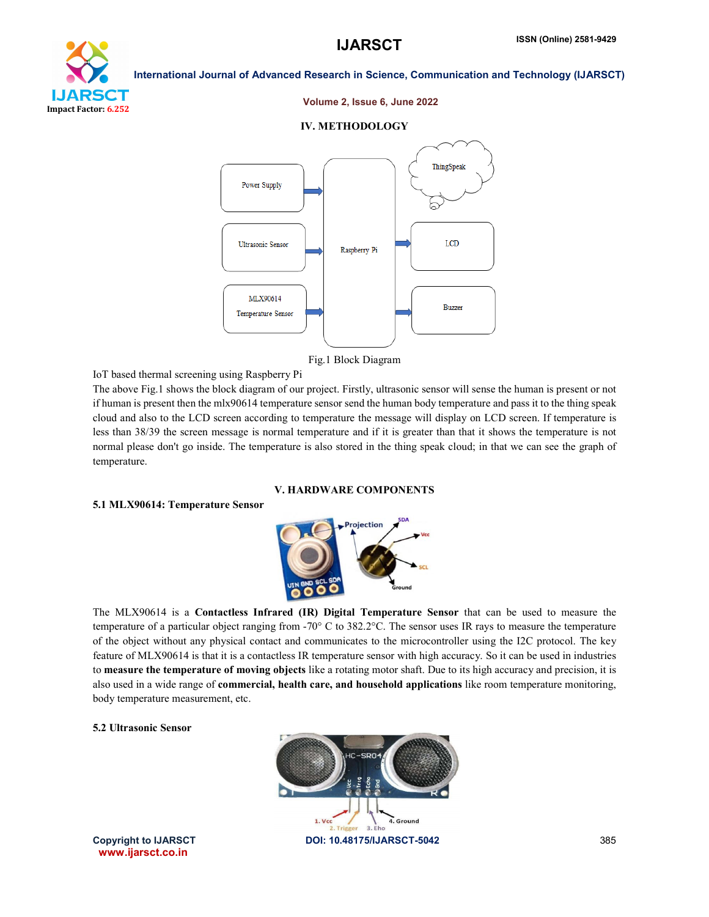



#### Volume 2, Issue 6, June 2022

#### IV. METHODOLOGY



Fig.1 Block Diagram

IoT based thermal screening using Raspberry Pi

The above Fig.1 shows the block diagram of our project. Firstly, ultrasonic sensor will sense the human is present or not if human is present then the mlx90614 temperature sensor send the human body temperature and pass it to the thing speak cloud and also to the LCD screen according to temperature the message will display on LCD screen. If temperature is less than 38/39 the screen message is normal temperature and if it is greater than that it shows the temperature is not normal please don't go inside. The temperature is also stored in the thing speak cloud; in that we can see the graph of temperature.

V. HARDWARE COMPONENTS

#### 5.1 MLX90614: Temperature Sensor



The MLX90614 is a Contactless Infrared (IR) Digital Temperature Sensor that can be used to measure the temperature of a particular object ranging from -70° C to 382.2°C. The sensor uses IR rays to measure the temperature of the object without any physical contact and communicates to the microcontroller using the I2C protocol. The key feature of MLX90614 is that it is a contactless IR temperature sensor with high accuracy. So it can be used in industries to measure the temperature of moving objects like a rotating motor shaft. Due to its high accuracy and precision, it is also used in a wide range of **commercial, health care, and household applications** like room temperature monitoring, body temperature measurement, etc.

#### 5.2 Ultrasonic Sensor



www.ijarsct.co.in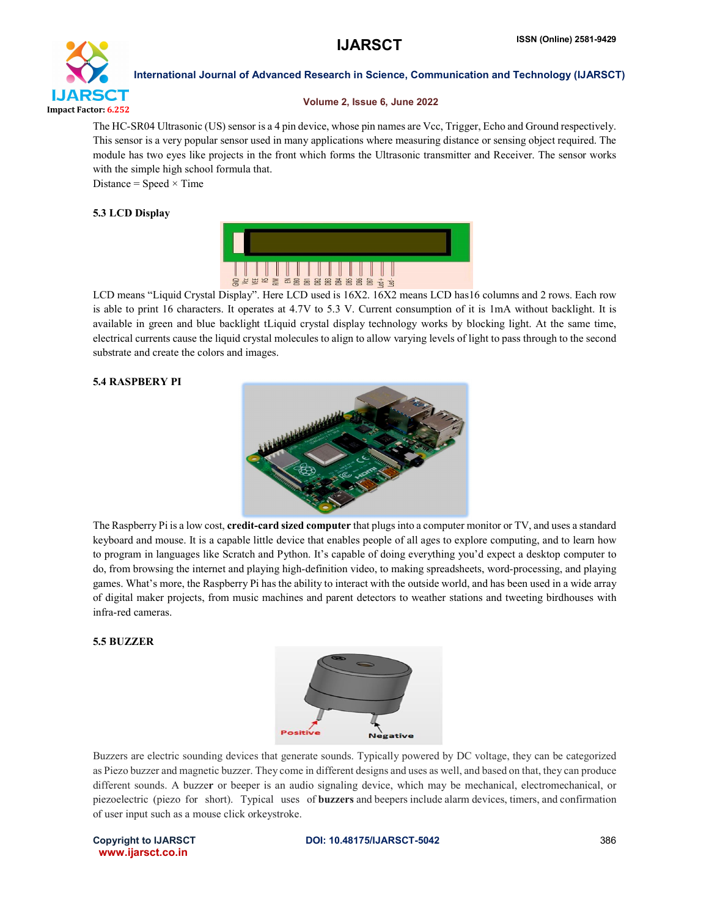

#### Volume 2, Issue 6, June 2022

The HC-SR04 Ultrasonic (US) sensor is a 4 pin device, whose pin names are Vcc, Trigger, Echo and Ground respectively. This sensor is a very popular sensor used in many applications where measuring distance or sensing object required. The module has two eyes like projects in the front which forms the Ultrasonic transmitter and Receiver. The sensor works with the simple high school formula that.

Distance = Speed  $\times$  Time

#### 5.3 LCD Display



LCD means "Liquid Crystal Display". Here LCD used is 16X2. 16X2 means LCD has16 columns and 2 rows. Each row is able to print 16 characters. It operates at 4.7V to 5.3 V. Current consumption of it is 1mA without backlight. It is available in green and blue backlight tLiquid crystal display technology works by blocking light. At the same time, electrical currents cause the liquid crystal molecules to align to allow varying levels of light to pass through to the second substrate and create the colors and images.

#### 5.4 RASPBERY PI



The Raspberry Pi is a low cost, **credit-card sized computer** that plugs into a computer monitor or TV, and uses a standard keyboard and mouse. It is a capable little device that enables people of all ages to explore computing, and to learn how to program in languages like Scratch and Python. It's capable of doing everything you'd expect a desktop computer to do, from browsing the internet and playing high-definition video, to making spreadsheets, word-processing, and playing games. What's more, the Raspberry Pi has the ability to interact with the outside world, and has been used in a wide array of digital maker projects, from music machines and parent detectors to weather stations and tweeting birdhouses with infra-red cameras.

#### 5.5 BUZZER



Buzzers are electric sounding devices that generate sounds. Typically powered by DC voltage, they can be categorized as Piezo buzzer and magnetic buzzer. They come in different designs and uses as well, and based on that, they can produce different sounds. A buzzer or beeper is an audio signaling device, which may be mechanical, electromechanical, or piezoelectric (piezo for short). Typical uses of buzzers and beepers include alarm devices, timers, and confirmation of user input such as a mouse click orkeystroke.

www.ijarsct.co.in

#### Copyright to IJARSCT **DOI: 10.48175/IJARSCT-5042** 386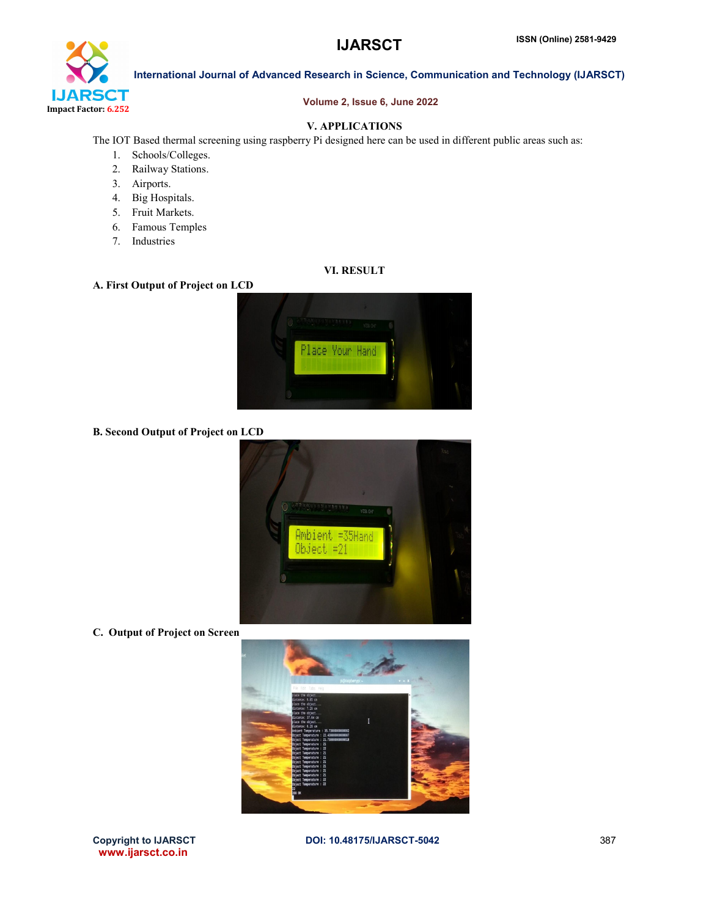

#### Volume 2, Issue 6, June 2022

#### V. APPLICATIONS

The IOT Based thermal screening using raspberry Pi designed here can be used in different public areas such as:

- 1. Schools/Colleges.
- 2. Railway Stations.
- 3. Airports.
- 4. Big Hospitals.
- 5. Fruit Markets.
- 6. Famous Temples
- 7. Industries

## VI. RESULT

#### A. First Output of Project on LCD



B. Second Output of Project on LCD



C. Output of Project on Screen



www.ijarsct.co.in

Copyright to IJARSCT **DOI: 10.48175/IJARSCT-5042** 387